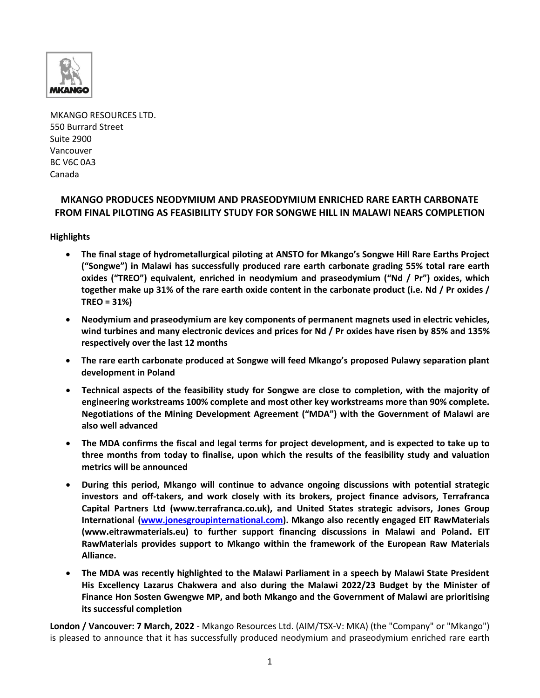

MKANGO RESOURCES LTD. 550 Burrard Street Suite 2900 Vancouver BC V6C 0A3 Canada

# **MKANGO PRODUCES NEODYMIUM AND PRASEODYMIUM ENRICHED RARE EARTH CARBONATE FROM FINAL PILOTING AS FEASIBILITY STUDY FOR SONGWE HILL IN MALAWI NEARS COMPLETION**

**Highlights** 

- **The final stage of hydrometallurgical piloting at ANSTO for Mkango's Songwe Hill Rare Earths Project ("Songwe") in Malawi has successfully produced rare earth carbonate grading 55% total rare earth oxides ("TREO") equivalent, enriched in neodymium and praseodymium ("Nd / Pr") oxides, which together make up 31% of the rare earth oxide content in the carbonate product (i.e. Nd / Pr oxides / TREO = 31%)**
- **Neodymium and praseodymium are key components of permanent magnets used in electric vehicles, wind turbines and many electronic devices and prices for Nd / Pr oxides have risen by 85% and 135% respectively over the last 12 months**
- **The rare earth carbonate produced at Songwe will feed Mkango's proposed Pulawy separation plant development in Poland**
- **Technical aspects of the feasibility study for Songwe are close to completion, with the majority of engineering workstreams 100% complete and most other key workstreams more than 90% complete. Negotiations of the Mining Development Agreement ("MDA") with the Government of Malawi are also well advanced**
- **The MDA confirms the fiscal and legal terms for project development, and is expected to take up to three months from today to finalise, upon which the results of the feasibility study and valuation metrics will be announced**
- **During this period, Mkango will continue to advance ongoing discussions with potential strategic investors and off-takers, and work closely with its brokers, project finance advisors, Terrafranca Capital Partners Ltd (www.terrafranca.co.uk), and United States strategic advisors, Jones Group International [\(www.jonesgroupinternational.com\)](http://www.jonesgroupinternational.com/). Mkango also recently engaged EIT RawMaterials (www.eitrawmaterials.eu) to further support financing discussions in Malawi and Poland. EIT RawMaterials provides support to Mkango within the framework of the European Raw Materials Alliance.**
- **The MDA was recently highlighted to the Malawi Parliament in a speech by Malawi State President His Excellency Lazarus Chakwera and also during the Malawi 2022/23 Budget by the Minister of Finance Hon Sosten Gwengwe MP, and both Mkango and the Government of Malawi are prioritising its successful completion**

**London / Vancouver: 7 March, 2022** - Mkango Resources Ltd. (AIM/TSX-V: MKA) (the "Company" or "Mkango") is pleased to announce that it has successfully produced neodymium and praseodymium enriched rare earth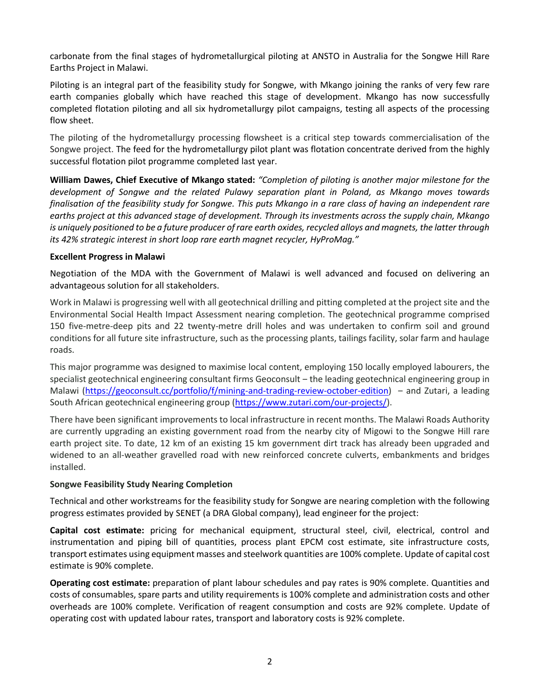carbonate from the final stages of hydrometallurgical piloting at ANSTO in Australia for the Songwe Hill Rare Earths Project in Malawi.

Piloting is an integral part of the feasibility study for Songwe, with Mkango joining the ranks of very few rare earth companies globally which have reached this stage of development. Mkango has now successfully completed flotation piloting and all six hydrometallurgy pilot campaigns, testing all aspects of the processing flow sheet.

The piloting of the hydrometallurgy processing flowsheet is a critical step towards commercialisation of the Songwe project. The feed for the hydrometallurgy pilot plant was flotation concentrate derived from the highly successful flotation pilot programme completed last year.

**William Dawes, Chief Executive of Mkango stated:** *"Completion of piloting is another major milestone for the development of Songwe and the related Pulawy separation plant in Poland, as Mkango moves towards finalisation of the feasibility study for Songwe. This puts Mkango in a rare class of having an independent rare earths project at this advanced stage of development. Through its investments across the supply chain, Mkango is uniquely positioned to be a future producer of rare earth oxides, recycled alloys and magnets, the latter through its 42% strategic interest in short loop rare earth magnet recycler, HyProMag."*

#### **Excellent Progress in Malawi**

Negotiation of the MDA with the Government of Malawi is well advanced and focused on delivering an advantageous solution for all stakeholders.

Work in Malawi is progressing well with all geotechnical drilling and pitting completed at the project site and the Environmental Social Health Impact Assessment nearing completion. The geotechnical programme comprised 150 five-metre-deep pits and 22 twenty-metre drill holes and was undertaken to confirm soil and ground conditions for all future site infrastructure, such as the processing plants, tailings facility, solar farm and haulage roads.

This major programme was designed to maximise local content, employing 150 locally employed labourers, the specialist geotechnical engineering consultant firms Geoconsult – the leading geotechnical engineering group in Malawi [\(https://geoconsult.cc/portfolio/f/mining-and-trading-review-october-edition\)](https://geoconsult.cc/portfolio/f/mining-and-trading-review-october-edition) – and Zutari, a leading South African geotechnical engineering group [\(https://www.zutari.com/our-projects/\)](https://www.zutari.com/our-projects/).

There have been significant improvements to local infrastructure in recent months. The Malawi Roads Authority are currently upgrading an existing government road from the nearby city of Migowi to the Songwe Hill rare earth project site. To date, 12 km of an existing 15 km government dirt track has already been upgraded and widened to an all-weather gravelled road with new reinforced concrete culverts, embankments and bridges installed.

## **Songwe Feasibility Study Nearing Completion**

Technical and other workstreams for the feasibility study for Songwe are nearing completion with the following progress estimates provided by SENET (a DRA Global company), lead engineer for the project:

**Capital cost estimate:** pricing for mechanical equipment, structural steel, civil, electrical, control and instrumentation and piping bill of quantities, process plant EPCM cost estimate, site infrastructure costs, transport estimates using equipment masses and steelwork quantities are 100% complete. Update of capital cost estimate is 90% complete.

**Operating cost estimate:** preparation of plant labour schedules and pay rates is 90% complete. Quantities and costs of consumables, spare parts and utility requirements is 100% complete and administration costs and other overheads are 100% complete. Verification of reagent consumption and costs are 92% complete. Update of operating cost with updated labour rates, transport and laboratory costs is 92% complete.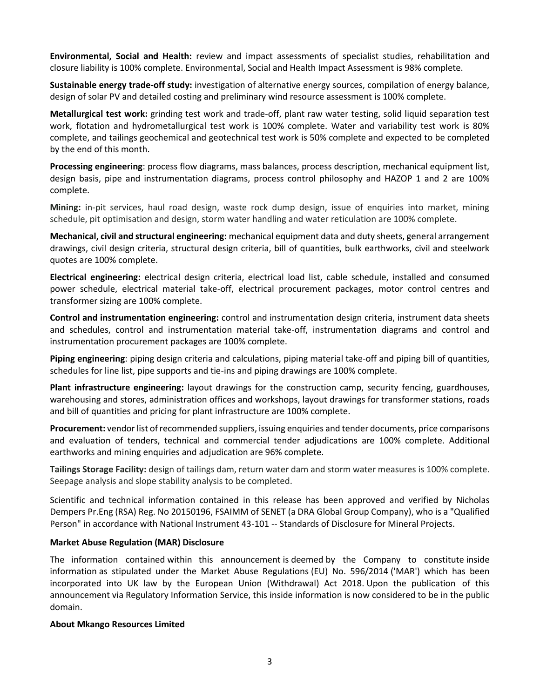**Environmental, Social and Health:** review and impact assessments of specialist studies, rehabilitation and closure liability is 100% complete. Environmental, Social and Health Impact Assessment is 98% complete.

**Sustainable energy trade-off study:** investigation of alternative energy sources, compilation of energy balance, design of solar PV and detailed costing and preliminary wind resource assessment is 100% complete.

**Metallurgical test work:** grinding test work and trade-off, plant raw water testing, solid liquid separation test work, flotation and hydrometallurgical test work is 100% complete. Water and variability test work is 80% complete, and tailings geochemical and geotechnical test work is 50% complete and expected to be completed by the end of this month.

**Processing engineering**: process flow diagrams, mass balances, process description, mechanical equipment list, design basis, pipe and instrumentation diagrams, process control philosophy and HAZOP 1 and 2 are 100% complete.

**Mining:** in-pit services, haul road design, waste rock dump design, issue of enquiries into market, mining schedule, pit optimisation and design, storm water handling and water reticulation are 100% complete.

**Mechanical, civil and structural engineering:** mechanical equipment data and duty sheets, general arrangement drawings, civil design criteria, structural design criteria, bill of quantities, bulk earthworks, civil and steelwork quotes are 100% complete.

**Electrical engineering:** electrical design criteria, electrical load list, cable schedule, installed and consumed power schedule, electrical material take-off, electrical procurement packages, motor control centres and transformer sizing are 100% complete.

**Control and instrumentation engineering:** control and instrumentation design criteria, instrument data sheets and schedules, control and instrumentation material take-off, instrumentation diagrams and control and instrumentation procurement packages are 100% complete.

**Piping engineering**: piping design criteria and calculations, piping material take-off and piping bill of quantities, schedules for line list, pipe supports and tie-ins and piping drawings are 100% complete.

**Plant infrastructure engineering:** layout drawings for the construction camp, security fencing, guardhouses, warehousing and stores, administration offices and workshops, layout drawings for transformer stations, roads and bill of quantities and pricing for plant infrastructure are 100% complete.

**Procurement:** vendor list of recommended suppliers, issuing enquiries and tender documents, price comparisons and evaluation of tenders, technical and commercial tender adjudications are 100% complete. Additional earthworks and mining enquiries and adjudication are 96% complete.

**Tailings Storage Facility:** design of tailings dam, return water dam and storm water measures is 100% complete. Seepage analysis and slope stability analysis to be completed.

Scientific and technical information contained in this release has been approved and verified by Nicholas Dempers Pr.Eng (RSA) Reg. No 20150196, FSAIMM of SENET (a DRA Global Group Company), who is a "Qualified Person" in accordance with National Instrument 43-101 -- Standards of Disclosure for Mineral Projects.

## **Market Abuse Regulation (MAR) Disclosure**

The information contained within this announcement is deemed by the Company to constitute inside information as stipulated under the Market Abuse Regulations (EU) No. 596/2014 ('MAR') which has been incorporated into UK law by the European Union (Withdrawal) Act 2018. Upon the publication of this announcement via Regulatory Information Service, this inside information is now considered to be in the public domain.

## **About Mkango Resources Limited**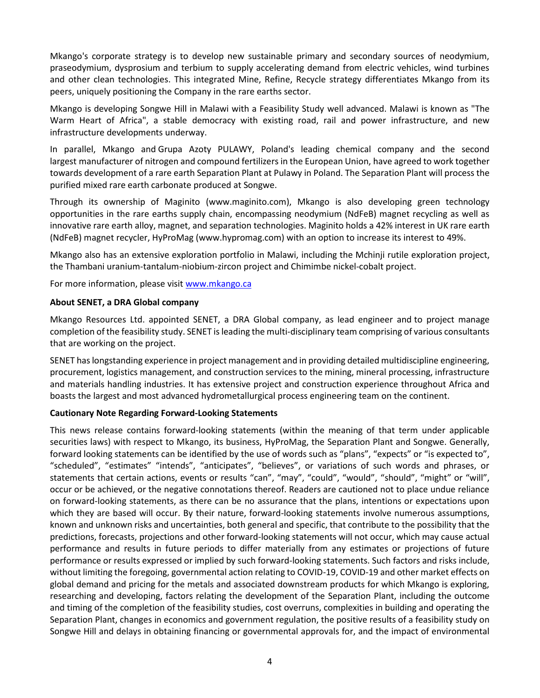Mkango's corporate strategy is to develop new sustainable primary and secondary sources of neodymium, praseodymium, dysprosium and terbium to supply accelerating demand from electric vehicles, wind turbines and other clean technologies. This integrated Mine, Refine, Recycle strategy differentiates Mkango from its peers, uniquely positioning the Company in the rare earths sector.

Mkango is developing Songwe Hill in Malawi with a Feasibility Study well advanced. Malawi is known as "The Warm Heart of Africa", a stable democracy with existing road, rail and power infrastructure, and new infrastructure developments underway.

In parallel, Mkango and Grupa Azoty PULAWY, Poland's leading chemical company and the second largest manufacturer of nitrogen and compound fertilizers in the European Union, have agreed to work together towards development of a rare earth Separation Plant at Pulawy in Poland. The Separation Plant will process the purified mixed rare earth carbonate produced at Songwe.

Through its ownership of Maginito [\(www.maginito.com\)](http://www.maginito.com/), Mkango is also developing green technology opportunities in the rare earths supply chain, encompassing neodymium (NdFeB) magnet recycling as well as innovative rare earth alloy, magnet, and separation technologies. Maginito holds a 42% interest in UK rare earth (NdFeB) magnet recycler, HyProMag [\(www.hypromag.com\)](http://www.hypromag.com/) with an option to increase its interest to 49%.

Mkango also has an extensive exploration portfolio in Malawi, including the Mchinji rutile exploration project, the Thambani uranium-tantalum-niobium-zircon project and Chimimbe nickel-cobalt project.

For more information, please visit [www.mkango.ca](http://www.mkango.ca/)

#### **About SENET, a DRA Global company**

Mkango Resources Ltd. appointed SENET, a DRA Global company, as lead engineer and to project manage completion of the feasibility study. SENET is leading the multi-disciplinary team comprising of various consultants that are working on the project.

SENET has longstanding experience in project management and in providing detailed multidiscipline engineering, procurement, logistics management, and construction services to the mining, mineral processing, infrastructure and materials handling industries. It has extensive project and construction experience throughout Africa and boasts the largest and most advanced hydrometallurgical process engineering team on the continent.

## **Cautionary Note Regarding Forward-Looking Statements**

This news release contains forward-looking statements (within the meaning of that term under applicable securities laws) with respect to Mkango, its business, HyProMag, the Separation Plant and Songwe. Generally, forward looking statements can be identified by the use of words such as "plans", "expects" or "is expected to", "scheduled", "estimates" "intends", "anticipates", "believes", or variations of such words and phrases, or statements that certain actions, events or results "can", "may", "could", "would", "should", "might" or "will", occur or be achieved, or the negative connotations thereof. Readers are cautioned not to place undue reliance on forward-looking statements, as there can be no assurance that the plans, intentions or expectations upon which they are based will occur. By their nature, forward-looking statements involve numerous assumptions, known and unknown risks and uncertainties, both general and specific, that contribute to the possibility that the predictions, forecasts, projections and other forward-looking statements will not occur, which may cause actual performance and results in future periods to differ materially from any estimates or projections of future performance or results expressed or implied by such forward-looking statements. Such factors and risks include, without limiting the foregoing, governmental action relating to COVID-19, COVID-19 and other market effects on global demand and pricing for the metals and associated downstream products for which Mkango is exploring, researching and developing, factors relating the development of the Separation Plant, including the outcome and timing of the completion of the feasibility studies, cost overruns, complexities in building and operating the Separation Plant, changes in economics and government regulation, the positive results of a feasibility study on Songwe Hill and delays in obtaining financing or governmental approvals for, and the impact of environmental